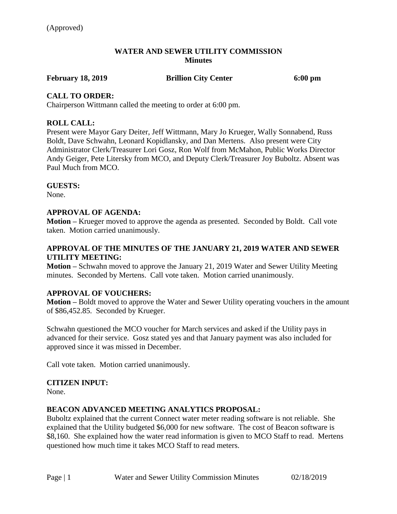#### **WATER AND SEWER UTILITY COMMISSION Minutes**

#### **February 18, 2019 Brillion City Center 6:00 pm**

### **CALL TO ORDER:**

Chairperson Wittmann called the meeting to order at 6:00 pm.

# **ROLL CALL:**

Present were Mayor Gary Deiter, Jeff Wittmann, Mary Jo Krueger, Wally Sonnabend, Russ Boldt, Dave Schwahn, Leonard Kopidlansky, and Dan Mertens. Also present were City Administrator Clerk/Treasurer Lori Gosz, Ron Wolf from McMahon, Public Works Director Andy Geiger, Pete Litersky from MCO, and Deputy Clerk/Treasurer Joy Buboltz. Absent was Paul Much from MCO.

# **GUESTS:**

None.

# **APPROVAL OF AGENDA:**

**Motion –** Krueger moved to approve the agenda as presented. Seconded by Boldt. Call vote taken. Motion carried unanimously.

# **APPROVAL OF THE MINUTES OF THE JANUARY 21, 2019 WATER AND SEWER UTILITY MEETING:**

**Motion –** Schwahn moved to approve the January 21, 2019 Water and Sewer Utility Meeting minutes. Seconded by Mertens. Call vote taken. Motion carried unanimously.

### **APPROVAL OF VOUCHERS:**

**Motion –** Boldt moved to approve the Water and Sewer Utility operating vouchers in the amount of \$86,452.85. Seconded by Krueger.

Schwahn questioned the MCO voucher for March services and asked if the Utility pays in advanced for their service. Gosz stated yes and that January payment was also included for approved since it was missed in December.

Call vote taken. Motion carried unanimously.

### **CITIZEN INPUT:**

None.

### **BEACON ADVANCED MEETING ANALYTICS PROPOSAL:**

Buboltz explained that the current Connect water meter reading software is not reliable. She explained that the Utility budgeted \$6,000 for new software. The cost of Beacon software is \$8,160. She explained how the water read information is given to MCO Staff to read. Mertens questioned how much time it takes MCO Staff to read meters.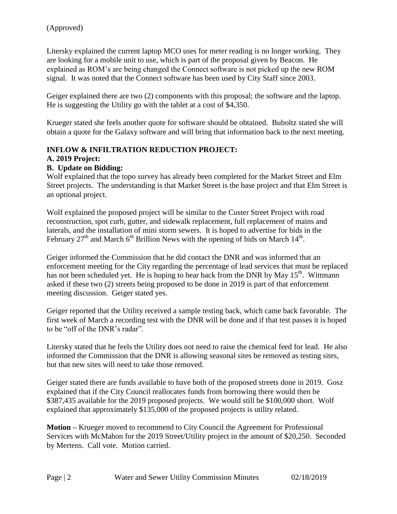Litersky explained the current laptop MCO uses for meter reading is no longer working. They are looking for a mobile unit to use, which is part of the proposal given by Beacon. He explained as ROM's are being changed the Connect software is not picked up the new ROM signal. It was noted that the Connect software has been used by City Staff since 2003.

Geiger explained there are two  $(2)$  components with this proposal; the software and the laptop. He is suggesting the Utility go with the tablet at a cost of \$4,350.

Krueger stated she feels another quote for software should be obtained. Buboltz stated she will obtain a quote for the Galaxy software and will bring that information back to the next meeting.

# **INFLOW & INFILTRATION REDUCTION PROJECT:**

# **A. 2019 Project:**

# **B. Update on Bidding:**

Wolf explained that the topo survey has already been completed for the Market Street and Elm Street projects. The understanding is that Market Street is the base project and that Elm Street is an optional project.

Wolf explained the proposed project will be similar to the Custer Street Project with road reconstruction, spot curb, gutter, and sidewalk replacement, full replacement of mains and laterals, and the installation of mini storm sewers. It is hoped to advertise for bids in the February 27<sup>th</sup> and March 6<sup>th</sup> Brillion News with the opening of bids on March 14<sup>th</sup>.

Geiger informed the Commission that he did contact the DNR and was informed that an enforcement meeting for the City regarding the percentage of lead services that must be replaced has not been scheduled yet. He is hoping to hear back from the DNR by May 15<sup>th</sup>. Wittmann asked if these two (2) streets being proposed to be done in 2019 is part of that enforcement meeting discussion. Geiger stated yes.

Geiger reported that the Utility received a sample testing back, which came back favorable. The first week of March a recording test with the DNR will be done and if that test passes it is hoped to be "off of the DNR's radar".

Litersky stated that he feels the Utility does not need to raise the chemical feed for lead. He also informed the Commission that the DNR is allowing seasonal sites be removed as testing sites, but that new sites will need to take those removed.

Geiger stated there are funds available to have both of the proposed streets done in 2019. Gosz explained that if the City Council reallocates funds from borrowing there would then be \$387,435 available for the 2019 proposed projects. We would still be \$100,000 short. Wolf explained that approximately \$135,000 of the proposed projects is utility related.

**Motion –** Krueger moved to recommend to City Council the Agreement for Professional Services with McMahon for the 2019 Street/Utility project in the amount of \$20,250. Seconded by Mertens. Call vote. Motion carried.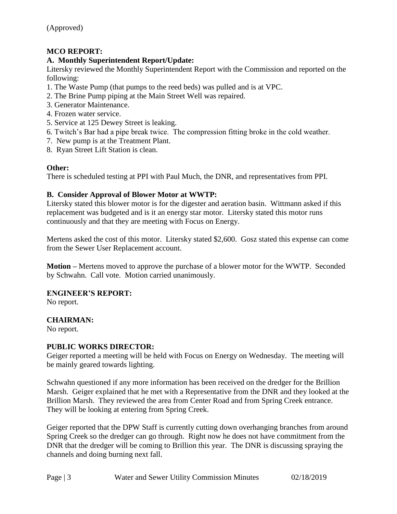# **MCO REPORT:**

#### **A. Monthly Superintendent Report/Update:**

Litersky reviewed the Monthly Superintendent Report with the Commission and reported on the following:

- 1. The Waste Pump (that pumps to the reed beds) was pulled and is at VPC.
- 2. The Brine Pump piping at the Main Street Well was repaired.
- 3. Generator Maintenance.
- 4. Frozen water service.
- 5. Service at 125 Dewey Street is leaking.
- 6. Twitch's Bar had a pipe break twice. The compression fitting broke in the cold weather.
- 7. New pump is at the Treatment Plant.
- 8. Ryan Street Lift Station is clean.

#### **Other:**

There is scheduled testing at PPI with Paul Much, the DNR, and representatives from PPI.

#### **B. Consider Approval of Blower Motor at WWTP:**

Litersky stated this blower motor is for the digester and aeration basin. Wittmann asked if this replacement was budgeted and is it an energy star motor. Litersky stated this motor runs continuously and that they are meeting with Focus on Energy.

Mertens asked the cost of this motor. Litersky stated \$2,600. Gosz stated this expense can come from the Sewer User Replacement account.

**Motion –** Mertens moved to approve the purchase of a blower motor for the WWTP. Seconded by Schwahn. Call vote. Motion carried unanimously.

#### **ENGINEER'S REPORT:**

No report.

#### **CHAIRMAN:**

No report.

#### **PUBLIC WORKS DIRECTOR:**

Geiger reported a meeting will be held with Focus on Energy on Wednesday. The meeting will be mainly geared towards lighting.

Schwahn questioned if any more information has been received on the dredger for the Brillion Marsh. Geiger explained that he met with a Representative from the DNR and they looked at the Brillion Marsh. They reviewed the area from Center Road and from Spring Creek entrance. They will be looking at entering from Spring Creek.

Geiger reported that the DPW Staff is currently cutting down overhanging branches from around Spring Creek so the dredger can go through. Right now he does not have commitment from the DNR that the dredger will be coming to Brillion this year. The DNR is discussing spraying the channels and doing burning next fall.